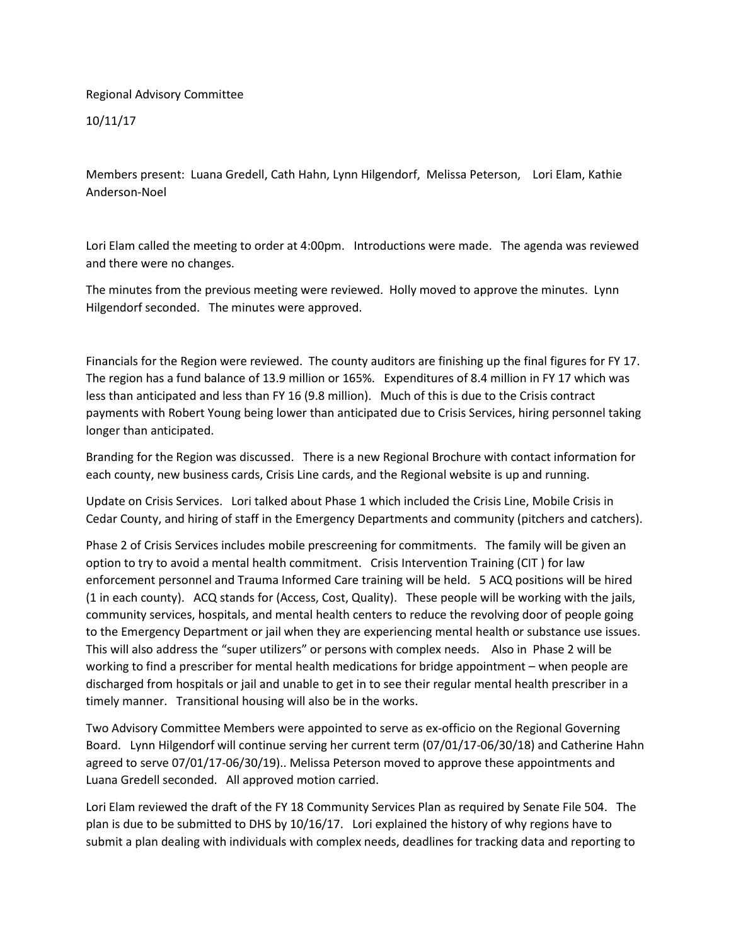## Regional Advisory Committee

10/11/17

Members present: Luana Gredell, Cath Hahn, Lynn Hilgendorf, Melissa Peterson, Lori Elam, Kathie Anderson-Noel

Lori Elam called the meeting to order at 4:00pm. Introductions were made. The agenda was reviewed and there were no changes.

The minutes from the previous meeting were reviewed. Holly moved to approve the minutes. Lynn Hilgendorf seconded. The minutes were approved.

Financials for the Region were reviewed. The county auditors are finishing up the final figures for FY 17. The region has a fund balance of 13.9 million or 165%. Expenditures of 8.4 million in FY 17 which was less than anticipated and less than FY 16 (9.8 million). Much of this is due to the Crisis contract payments with Robert Young being lower than anticipated due to Crisis Services, hiring personnel taking longer than anticipated.

Branding for the Region was discussed. There is a new Regional Brochure with contact information for each county, new business cards, Crisis Line cards, and the Regional website is up and running.

Update on Crisis Services. Lori talked about Phase 1 which included the Crisis Line, Mobile Crisis in Cedar County, and hiring of staff in the Emergency Departments and community (pitchers and catchers).

Phase 2 of Crisis Services includes mobile prescreening for commitments. The family will be given an option to try to avoid a mental health commitment. Crisis Intervention Training (CIT ) for law enforcement personnel and Trauma Informed Care training will be held. 5 ACQ positions will be hired (1 in each county). ACQ stands for (Access, Cost, Quality). These people will be working with the jails, community services, hospitals, and mental health centers to reduce the revolving door of people going to the Emergency Department or jail when they are experiencing mental health or substance use issues. This will also address the "super utilizers" or persons with complex needs. Also in Phase 2 will be working to find a prescriber for mental health medications for bridge appointment – when people are discharged from hospitals or jail and unable to get in to see their regular mental health prescriber in a timely manner. Transitional housing will also be in the works.

Two Advisory Committee Members were appointed to serve as ex-officio on the Regional Governing Board. Lynn Hilgendorf will continue serving her current term (07/01/17-06/30/18) and Catherine Hahn agreed to serve 07/01/17-06/30/19).. Melissa Peterson moved to approve these appointments and Luana Gredell seconded. All approved motion carried.

Lori Elam reviewed the draft of the FY 18 Community Services Plan as required by Senate File 504. The plan is due to be submitted to DHS by 10/16/17. Lori explained the history of why regions have to submit a plan dealing with individuals with complex needs, deadlines for tracking data and reporting to